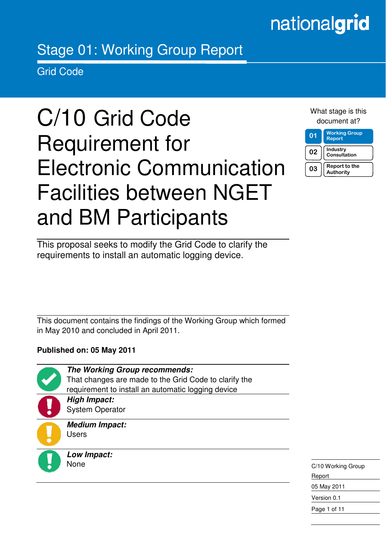# nationalgrid

# Stage 01: Working Group Report

Grid Code

in the contract of the contract of the contract of the contract of the contract of the contract of the contract of the contract of the contract of the contract of the contract of the contract of the contract of the contrac

# C/10 Grid Code Requirement for Electronic Communication Facilities between NGET and BM Participants

|                 | document at?                          |
|-----------------|---------------------------------------|
| $\overline{01}$ | <b>Working Group</b><br><b>Report</b> |
| 02              | Industry<br>Consultation              |

 $03$  | Report to the Authority

What stage is this

This proposal seeks to modify the Grid Code to clarify the requirements to install an automatic logging device.

This document contains the findings of the Working Group which formed in May 2010 and concluded in April 2011.

> That changes are made to the Grid Code to clarify the requirement to install an automatic logging device

**The Working Group recommends:** 

**Published on: 05 May 2011** 

**High Impact:**  System Operator

**Medium Impact:**  Users

**Low Impact:**  None

C/10 Working Group Report 05 May 2011 Version 0.1 Page 1 of 11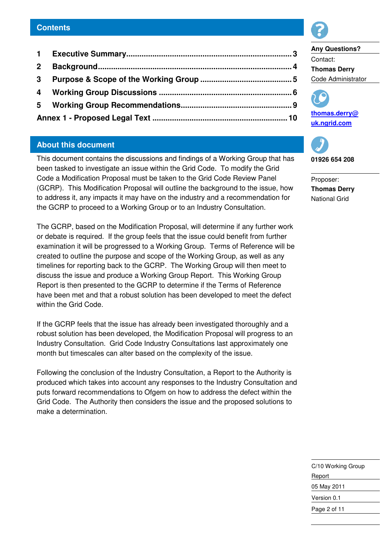#### **Contents**

 **Executive Summary............................................................................ 3 Background......................................................................................... 4 Purpose & Scope of the Working Group .......................................... 5 Working Group Discussions ............................................................. 6 Working Group Recommendations................................................... 9 Annex 1 - Proposed Legal Text .............................................................. 10**

## **About this document**

This document contains the discussions and findings of a Working Group that has been tasked to investigate an issue within the Grid Code. To modify the Grid Code a Modification Proposal must be taken to the Grid Code Review Panel (GCRP). This Modification Proposal will outline the background to the issue, how to address it, any impacts it may have on the industry and a recommendation for the GCRP to proceed to a Working Group or to an Industry Consultation.

The GCRP, based on the Modification Proposal, will determine if any further work or debate is required. If the group feels that the issue could benefit from further examination it will be progressed to a Working Group. Terms of Reference will be created to outline the purpose and scope of the Working Group, as well as any timelines for reporting back to the GCRP. The Working Group will then meet to discuss the issue and produce a Working Group Report. This Working Group Report is then presented to the GCRP to determine if the Terms of Reference have been met and that a robust solution has been developed to meet the defect within the Grid Code.

If the GCRP feels that the issue has already been investigated thoroughly and a robust solution has been developed, the Modification Proposal will progress to an Industry Consultation. Grid Code Industry Consultations last approximately one month but timescales can alter based on the complexity of the issue.

Following the conclusion of the Industry Consultation, a Report to the Authority is produced which takes into account any responses to the Industry Consultation and puts forward recommendations to Ofgem on how to address the defect within the Grid Code. The Authority then considers the issue and the proposed solutions to make a determination.



# **Any Questions?**  Contact: **Thomas Derry**  Code Administrator





**01926 654 208** 

Proposer: **Thomas Derry**  National Grid

C/10 Working Group Report 05 May 2011 Version 0.1 Page 2 of 11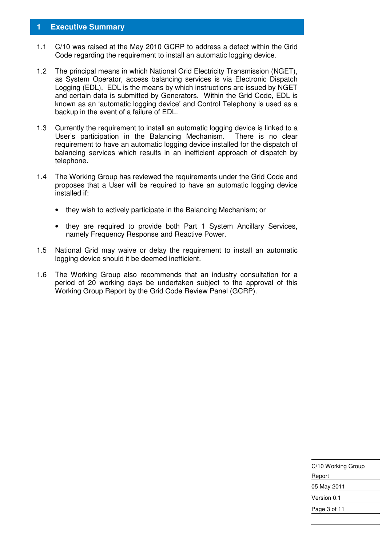#### **1 Executive Summary**

- 1.1 C/10 was raised at the May 2010 GCRP to address a defect within the Grid Code regarding the requirement to install an automatic logging device.
- 1.2 The principal means in which National Grid Electricity Transmission (NGET), as System Operator, access balancing services is via Electronic Dispatch Logging (EDL). EDL is the means by which instructions are issued by NGET and certain data is submitted by Generators. Within the Grid Code, EDL is known as an 'automatic logging device' and Control Telephony is used as a backup in the event of a failure of EDL.
- 1.3 Currently the requirement to install an automatic logging device is linked to a User's participation in the Balancing Mechanism. There is no clear requirement to have an automatic logging device installed for the dispatch of balancing services which results in an inefficient approach of dispatch by telephone.
- 1.4 The Working Group has reviewed the requirements under the Grid Code and proposes that a User will be required to have an automatic logging device installed if:
	- they wish to actively participate in the Balancing Mechanism; or
	- they are required to provide both Part 1 System Ancillary Services, namely Frequency Response and Reactive Power.
- 1.5 National Grid may waive or delay the requirement to install an automatic logging device should it be deemed inefficient.
- 1.6 The Working Group also recommends that an industry consultation for a period of 20 working days be undertaken subject to the approval of this Working Group Report by the Grid Code Review Panel (GCRP).

| C/10 Working Group |  |  |
|--------------------|--|--|
| Report             |  |  |
| 05 May 2011        |  |  |
| Version 0.1        |  |  |
| Page 3 of 11       |  |  |
|                    |  |  |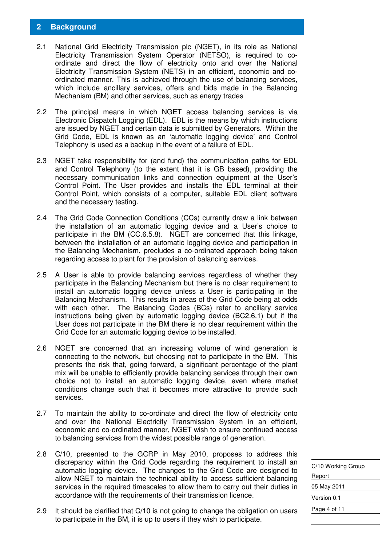### **2 Background**

- 2.1 National Grid Electricity Transmission plc (NGET), in its role as National Electricity Transmission System Operator (NETSO), is required to coordinate and direct the flow of electricity onto and over the National Electricity Transmission System (NETS) in an efficient, economic and coordinated manner. This is achieved through the use of balancing services, which include ancillary services, offers and bids made in the Balancing Mechanism (BM) and other services, such as energy trades
- 2.2 The principal means in which NGET access balancing services is via Electronic Dispatch Logging (EDL). EDL is the means by which instructions are issued by NGET and certain data is submitted by Generators. Within the Grid Code, EDL is known as an 'automatic logging device' and Control Telephony is used as a backup in the event of a failure of EDL.
- 2.3 NGET take responsibility for (and fund) the communication paths for EDL and Control Telephony (to the extent that it is GB based), providing the necessary communication links and connection equipment at the User's Control Point. The User provides and installs the EDL terminal at their Control Point, which consists of a computer, suitable EDL client software and the necessary testing.
- 2.4 The Grid Code Connection Conditions (CCs) currently draw a link between the installation of an automatic logging device and a User's choice to participate in the BM (CC.6.5.8). NGET are concerned that this linkage, between the installation of an automatic logging device and participation in the Balancing Mechanism, precludes a co-ordinated approach being taken regarding access to plant for the provision of balancing services.
- 2.5 A User is able to provide balancing services regardless of whether they participate in the Balancing Mechanism but there is no clear requirement to install an automatic logging device unless a User is participating in the Balancing Mechanism. This results in areas of the Grid Code being at odds with each other. The Balancing Codes (BCs) refer to ancillary service instructions being given by automatic logging device (BC2.6.1) but if the User does not participate in the BM there is no clear requirement within the Grid Code for an automatic logging device to be installed.
- 2.6 NGET are concerned that an increasing volume of wind generation is connecting to the network, but choosing not to participate in the BM. This presents the risk that, going forward, a significant percentage of the plant mix will be unable to efficiently provide balancing services through their own choice not to install an automatic logging device, even where market conditions change such that it becomes more attractive to provide such services.
- 2.7 To maintain the ability to co-ordinate and direct the flow of electricity onto and over the National Electricity Transmission System in an efficient, economic and co-ordinated manner, NGET wish to ensure continued access to balancing services from the widest possible range of generation.
- 2.8 C/10, presented to the GCRP in May 2010, proposes to address this discrepancy within the Grid Code regarding the requirement to install an automatic logging device. The changes to the Grid Code are designed to allow NGET to maintain the technical ability to access sufficient balancing services in the required timescales to allow them to carry out their duties in accordance with the requirements of their transmission licence.
- 2.9 It should be clarified that C/10 is not going to change the obligation on users to participate in the BM, it is up to users if they wish to participate.

C/10 Working Group Report 05 May 2011 Version 0.1 Page 4 of 11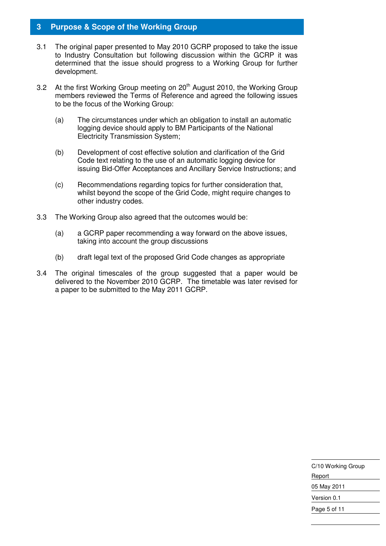### **3 Purpose & Scope of the Working Group**

- 3.1 The original paper presented to May 2010 GCRP proposed to take the issue to Industry Consultation but following discussion within the GCRP it was determined that the issue should progress to a Working Group for further development.
- 3.2 At the first Working Group meeting on 20<sup>th</sup> August 2010, the Working Group members reviewed the Terms of Reference and agreed the following issues to be the focus of the Working Group:
	- (a) The circumstances under which an obligation to install an automatic logging device should apply to BM Participants of the National Electricity Transmission System;
	- (b) Development of cost effective solution and clarification of the Grid Code text relating to the use of an automatic logging device for issuing Bid-Offer Acceptances and Ancillary Service Instructions; and
	- (c) Recommendations regarding topics for further consideration that, whilst beyond the scope of the Grid Code, might require changes to other industry codes.
- 3.3 The Working Group also agreed that the outcomes would be:
	- (a) a GCRP paper recommending a way forward on the above issues, taking into account the group discussions
	- (b) draft legal text of the proposed Grid Code changes as appropriate
- 3.4 The original timescales of the group suggested that a paper would be delivered to the November 2010 GCRP. The timetable was later revised for a paper to be submitted to the May 2011 GCRP.

C/10 Working Group Report 05 May 2011 Version 0.1 Page 5 of 11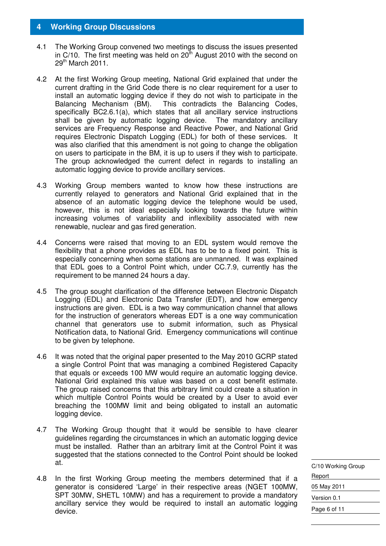#### **4 Working Group Discussions**

- 4.1 The Working Group convened two meetings to discuss the issues presented in C/10. The first meeting was held on  $20<sup>th</sup>$  August 2010 with the second on  $29<sup>th</sup>$  March 2011.
- 4.2 At the first Working Group meeting, National Grid explained that under the current drafting in the Grid Code there is no clear requirement for a user to install an automatic logging device if they do not wish to participate in the Balancing Mechanism (BM). This contradicts the Balancing Codes, specifically BC2.6.1(a), which states that all ancillary service instructions shall be given by automatic logging device. The mandatory ancillary services are Frequency Response and Reactive Power, and National Grid requires Electronic Dispatch Logging (EDL) for both of these services. It was also clarified that this amendment is not going to change the obligation on users to participate in the BM, it is up to users if they wish to participate. The group acknowledged the current defect in regards to installing an automatic logging device to provide ancillary services.
- 4.3 Working Group members wanted to know how these instructions are currently relayed to generators and National Grid explained that in the absence of an automatic logging device the telephone would be used, however, this is not ideal especially looking towards the future within increasing volumes of variability and inflexibility associated with new renewable, nuclear and gas fired generation.
- 4.4 Concerns were raised that moving to an EDL system would remove the flexibility that a phone provides as EDL has to be to a fixed point. This is especially concerning when some stations are unmanned. It was explained that EDL goes to a Control Point which, under CC.7.9, currently has the requirement to be manned 24 hours a day.
- 4.5 The group sought clarification of the difference between Electronic Dispatch Logging (EDL) and Electronic Data Transfer (EDT), and how emergency instructions are given. EDL is a two way communication channel that allows for the instruction of generators whereas EDT is a one way communication channel that generators use to submit information, such as Physical Notification data, to National Grid. Emergency communications will continue to be given by telephone.
- 4.6 It was noted that the original paper presented to the May 2010 GCRP stated a single Control Point that was managing a combined Registered Capacity that equals or exceeds 100 MW would require an automatic logging device. National Grid explained this value was based on a cost benefit estimate. The group raised concerns that this arbitrary limit could create a situation in which multiple Control Points would be created by a User to avoid ever breaching the 100MW limit and being obligated to install an automatic logging device.
- 4.7 The Working Group thought that it would be sensible to have clearer guidelines regarding the circumstances in which an automatic logging device must be installed. Rather than an arbitrary limit at the Control Point it was suggested that the stations connected to the Control Point should be looked at.
- 4.8 In the first Working Group meeting the members determined that if a generator is considered 'Large' in their respective areas (NGET 100MW, SPT 30MW, SHETL 10MW) and has a requirement to provide a mandatory ancillary service they would be required to install an automatic logging device.

C/10 Working Group Report 05 May 2011 Version 0.1 Page 6 of 11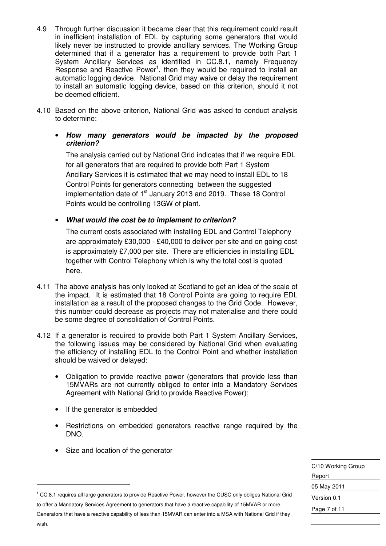- 4.9 Through further discussion it became clear that this requirement could result in inefficient installation of EDL by capturing some generators that would likely never be instructed to provide ancillary services. The Working Group determined that if a generator has a requirement to provide both Part 1 System Ancillary Services as identified in CC.8.1, namely Frequency Response and Reactive Power<sup>1</sup>, then they would be required to install an automatic logging device. National Grid may waive or delay the requirement to install an automatic logging device, based on this criterion, should it not be deemed efficient.
- 4.10 Based on the above criterion, National Grid was asked to conduct analysis to determine:
	- **How many generators would be impacted by the proposed criterion?**

The analysis carried out by National Grid indicates that if we require EDL for all generators that are required to provide both Part 1 System Ancillary Services it is estimated that we may need to install EDL to 18 Control Points for generators connecting between the suggested implementation date of 1<sup>st</sup> January 2013 and 2019. These 18 Control Points would be controlling 13GW of plant.

• **What would the cost be to implement to criterion?** 

The current costs associated with installing EDL and Control Telephony are approximately £30,000 - £40,000 to deliver per site and on going cost is approximately £7,000 per site. There are efficiencies in installing EDL together with Control Telephony which is why the total cost is quoted here.

- 4.11 The above analysis has only looked at Scotland to get an idea of the scale of the impact. It is estimated that 18 Control Points are going to require EDL installation as a result of the proposed changes to the Grid Code. However, this number could decrease as projects may not materialise and there could be some degree of consolidation of Control Points.
- 4.12 If a generator is required to provide both Part 1 System Ancillary Services, the following issues may be considered by National Grid when evaluating the efficiency of installing EDL to the Control Point and whether installation should be waived or delayed:
	- Obligation to provide reactive power (generators that provide less than 15MVARs are not currently obliged to enter into a Mandatory Services Agreement with National Grid to provide Reactive Power);
	- If the generator is embedded
	- Restrictions on embedded generators reactive range required by the DNO.
	- Size and location of the generator

| C/10 Working Group |  |  |
|--------------------|--|--|
| Report             |  |  |
| 05 May 2011        |  |  |
| Version 0.1        |  |  |
| Page 7 of 11       |  |  |

<sup>1</sup> CC.8.1 requires all large generators to provide Reactive Power, however the CUSC only obliges National Grid to offer a Mandatory Services Agreement to generators that have a reactive capability of 15MVAR or more. Generators that have a reactive capability of less than 15MVAR can enter into a MSA with National Grid if they

-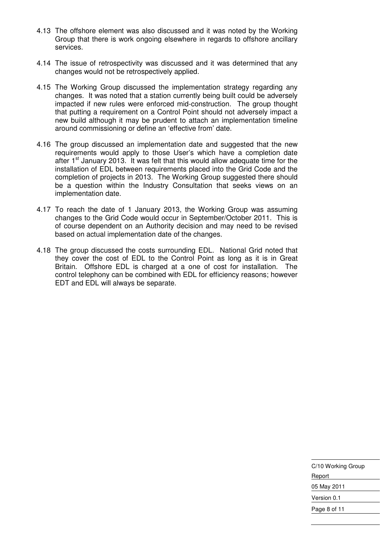- 4.13 The offshore element was also discussed and it was noted by the Working Group that there is work ongoing elsewhere in regards to offshore ancillary services.
- 4.14 The issue of retrospectivity was discussed and it was determined that any changes would not be retrospectively applied.
- 4.15 The Working Group discussed the implementation strategy regarding any changes. It was noted that a station currently being built could be adversely impacted if new rules were enforced mid-construction. The group thought that putting a requirement on a Control Point should not adversely impact a new build although it may be prudent to attach an implementation timeline around commissioning or define an 'effective from' date.
- 4.16 The group discussed an implementation date and suggested that the new requirements would apply to those User's which have a completion date after 1<sup>st</sup> January 2013. It was felt that this would allow adequate time for the installation of EDL between requirements placed into the Grid Code and the completion of projects in 2013. The Working Group suggested there should be a question within the Industry Consultation that seeks views on an implementation date.
- 4.17 To reach the date of 1 January 2013, the Working Group was assuming changes to the Grid Code would occur in September/October 2011. This is of course dependent on an Authority decision and may need to be revised based on actual implementation date of the changes.
- 4.18 The group discussed the costs surrounding EDL. National Grid noted that they cover the cost of EDL to the Control Point as long as it is in Great Britain. Offshore EDL is charged at a one of cost for installation. The control telephony can be combined with EDL for efficiency reasons; however EDT and EDL will always be separate.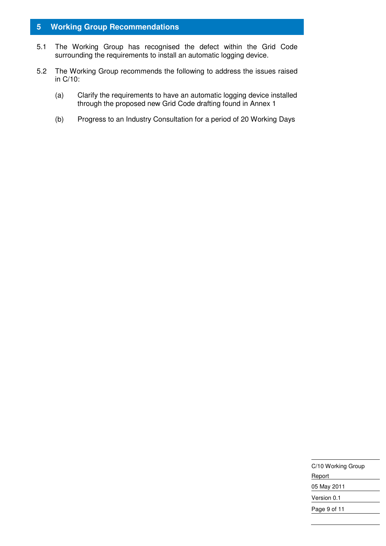# **5 Working Group Recommendations**

- 5.1 The Working Group has recognised the defect within the Grid Code surrounding the requirements to install an automatic logging device.
- 5.2 The Working Group recommends the following to address the issues raised in C/10:
	- (a) Clarify the requirements to have an automatic logging device installed through the proposed new Grid Code drafting found in Annex 1
	- (b) Progress to an Industry Consultation for a period of 20 Working Days

| C/10 Working Group |  |
|--------------------|--|
| Report             |  |
| 05 May 2011        |  |
| Version 0.1        |  |
| Page 9 of 11       |  |
|                    |  |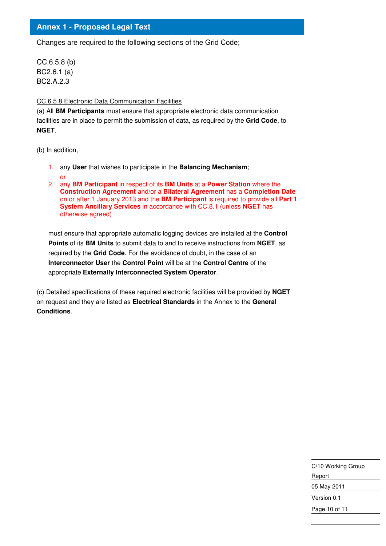### **Annex 1 - Proposed Legal Text**

Changes are required to the following sections of the Grid Code;

CC.6.5.8 (b) BC2.6.1 (a) BC2.A.2.3

#### CC.6.5.8 Electronic Data Communication Facilities

(a) All **BM Participants** must ensure that appropriate electronic data communication facilities are in place to permit the submission of data, as required by the **Grid Code**, to **NGET**.

(b) In addition,

- 1. any **User** that wishes to participate in the **Balancing Mechanism**;
- or
- 2. any **BM Participant** in respect of its **BM Units** at a **Power Station** where the **Construction Agreement** and/or a **Bilateral Agreement** has a **Completion Date** on or after 1 January 2013 and the **BM Participant** is required to provide all **Part 1 System Ancillary Services** in accordance with CC.8.1 (unless **NGET** has otherwise agreed)

must ensure that appropriate automatic logging devices are installed at the **Control Points** of its **BM Units** to submit data to and to receive instructions from **NGET**, as required by the **Grid Code**. For the avoidance of doubt, in the case of an **Interconnector User** the **Control Point** will be at the **Control Centre** of the appropriate **Externally Interconnected System Operator**.

(c) Detailed specifications of these required electronic facilities will be provided by **NGET**  on request and they are listed as **Electrical Standards** in the Annex to the **General Conditions**.

> C/10 Working Group Report 05 May 2011 Version 0.1 Page 10 of 11